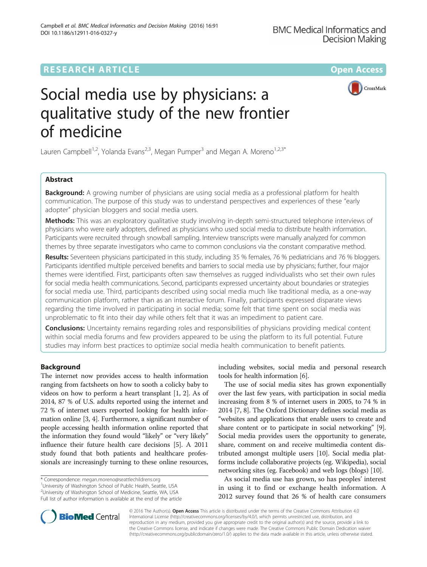# **RESEARCH ARTICLE Example 2018 12:00 Department of the Contract Open Access**

CrossMark



Lauren Campbell<sup>1,2</sup>, Yolanda Evans<sup>2,3</sup>, Megan Pumper<sup>3</sup> and Megan A. Moreno<sup>1,2,3\*</sup>

# Abstract

**Background:** A growing number of physicians are using social media as a professional platform for health communication. The purpose of this study was to understand perspectives and experiences of these "early adopter" physician bloggers and social media users.

Methods: This was an exploratory qualitative study involving in-depth semi-structured telephone interviews of physicians who were early adopters, defined as physicians who used social media to distribute health information. Participants were recruited through snowball sampling. Interview transcripts were manually analyzed for common themes by three separate investigators who came to common conclusions via the constant comparative method.

Results: Seventeen physicians participated in this study, including 35 % females, 76 % pediatricians and 76 % bloggers. Participants identified multiple perceived benefits and barriers to social media use by physicians; further, four major themes were identified. First, participants often saw themselves as rugged individualists who set their own rules for social media health communications. Second, participants expressed uncertainty about boundaries or strategies for social media use. Third, participants described using social media much like traditional media, as a one-way communication platform, rather than as an interactive forum. Finally, participants expressed disparate views regarding the time involved in participating in social media; some felt that time spent on social media was unproblematic to fit into their day while others felt that it was an impediment to patient care.

**Conclusions:** Uncertainty remains regarding roles and responsibilities of physicians providing medical content within social media forums and few providers appeared to be using the platform to its full potential. Future studies may inform best practices to optimize social media health communication to benefit patients.

# Background

The internet now provides access to health information ranging from factsheets on how to sooth a colicky baby to videos on how to perform a heart transplant [\[1, 2](#page-10-0)]. As of 2014, 87 % of U.S. adults reported using the internet and 72 % of internet users reported looking for health information online [[3, 4](#page-10-0)]. Furthermore, a significant number of people accessing health information online reported that the information they found would "likely" or "very likely" influence their future health care decisions [\[5\]](#page-10-0). A 2011 study found that both patients and healthcare professionals are increasingly turning to these online resources,

\* Correspondence: [megan.moreno@seattlechildrens.org](mailto:megan.moreno@seattlechildrens.org) <sup>1</sup>

<sup>1</sup> University of Washington School of Public Health, Seattle, USA <sup>2</sup>University of Washington School of Medicine, Seattle, WA, USA including websites, social media and personal research tools for health information [\[6](#page-10-0)].

The use of social media sites has grown exponentially over the last few years, with participation in social media increasing from 8 % of internet users in 2005, to 74 % in 2014 [[7, 8](#page-10-0)]. The Oxford Dictionary defines social media as "websites and applications that enable users to create and share content or to participate in social networking" [[9](#page-10-0)]. Social media provides users the opportunity to generate, share, comment on and receive multimedia content distributed amongst multiple users [[10](#page-10-0)]. Social media platforms include collaborative projects (eg. Wikipedia), social networking sites (eg. Facebook) and web logs (blogs) [\[10\]](#page-10-0).

As social media use has grown, so has peoples' interest in using it to find or exchange health information. A 2012 survey found that 26 % of health care consumers



© 2016 The Author(s). Open Access This article is distributed under the terms of the Creative Commons Attribution 4.0 International License [\(http://creativecommons.org/licenses/by/4.0/](http://creativecommons.org/licenses/by/4.0/)), which permits unrestricted use, distribution, and reproduction in any medium, provided you give appropriate credit to the original author(s) and the source, provide a link to the Creative Commons license, and indicate if changes were made. The Creative Commons Public Domain Dedication waiver [\(http://creativecommons.org/publicdomain/zero/1.0/](http://creativecommons.org/publicdomain/zero/1.0/)) applies to the data made available in this article, unless otherwise stated.

Full list of author information is available at the end of the article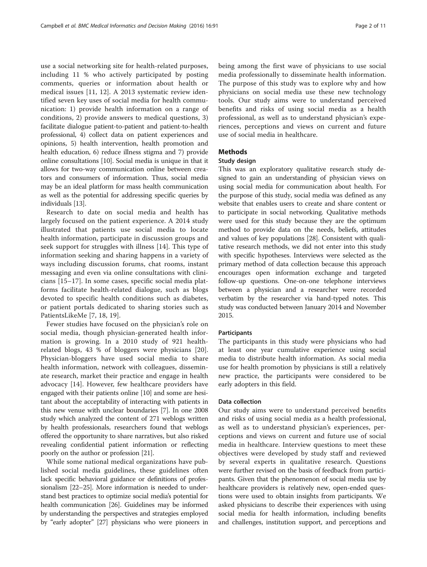use a social networking site for health-related purposes, including 11 % who actively participated by posting comments, queries or information about health or medical issues [\[11](#page-10-0), [12](#page-10-0)]. A 2013 systematic review identified seven key uses of social media for health communication: 1) provide health information on a range of conditions, 2) provide answers to medical questions, 3) facilitate dialogue patient-to-patient and patient-to-health professional, 4) collect data on patient experiences and opinions, 5) health intervention, health promotion and health education, 6) reduce illness stigma and 7) provide online consultations [[10\]](#page-10-0). Social media is unique in that it allows for two-way communication online between creators and consumers of information. Thus, social media may be an ideal platform for mass health communication as well as the potential for addressing specific queries by individuals [[13](#page-10-0)].

Research to date on social media and health has largely focused on the patient experience. A 2014 study illustrated that patients use social media to locate health information, participate in discussion groups and seek support for struggles with illness [[14\]](#page-10-0). This type of information seeking and sharing happens in a variety of ways including discussion forums, chat rooms, instant messaging and even via online consultations with clinicians [[15](#page-10-0)–[17](#page-10-0)]. In some cases, specific social media platforms facilitate health-related dialogue, such as blogs devoted to specific health conditions such as diabetes, or patient portals dedicated to sharing stories such as PatientsLikeMe [[7, 18, 19\]](#page-10-0).

Fewer studies have focused on the physician's role on social media, though physician-generated health information is growing. In a 2010 study of 921 healthrelated blogs, 43 % of bloggers were physicians [[20](#page-10-0)]. Physician-bloggers have used social media to share health information, network with colleagues, disseminate research, market their practice and engage in health advocacy [\[14](#page-10-0)]. However, few healthcare providers have engaged with their patients online [\[10\]](#page-10-0) and some are hesitant about the acceptability of interacting with patients in this new venue with unclear boundaries [\[7](#page-10-0)]. In one 2008 study which analyzed the content of 271 weblogs written by health professionals, researchers found that weblogs offered the opportunity to share narratives, but also risked revealing confidential patient information or reflecting poorly on the author or profession [\[21\]](#page-10-0).

While some national medical organizations have published social media guidelines, these guidelines often lack specific behavioral guidance or definitions of professionalism [[22](#page-10-0)–[25](#page-10-0)]. More information is needed to understand best practices to optimize social media's potential for health communication [[26](#page-10-0)]. Guidelines may be informed by understanding the perspectives and strategies employed by "early adopter" [\[27\]](#page-10-0) physicians who were pioneers in being among the first wave of physicians to use social media professionally to disseminate health information. The purpose of this study was to explore why and how physicians on social media use these new technology tools. Our study aims were to understand perceived benefits and risks of using social media as a health professional, as well as to understand physician's experiences, perceptions and views on current and future use of social media in healthcare.

# Methods

#### Study design

This was an exploratory qualitative research study designed to gain an understanding of physician views on using social media for communication about health. For the purpose of this study, social media was defined as any website that enables users to create and share content or to participate in social networking. Qualitative methods were used for this study because they are the optimum method to provide data on the needs, beliefs, attitudes and values of key populations [\[28\]](#page-10-0). Consistent with qualitative research methods, we did not enter into this study with specific hypotheses. Interviews were selected as the primary method of data collection because this approach encourages open information exchange and targeted follow-up questions. One-on-one telephone interviews between a physician and a researcher were recorded verbatim by the researcher via hand-typed notes. This study was conducted between January 2014 and November 2015.

### Participants

The participants in this study were physicians who had at least one year cumulative experience using social media to distribute health information. As social media use for health promotion by physicians is still a relatively new practice, the participants were considered to be early adopters in this field.

#### Data collection

Our study aims were to understand perceived benefits and risks of using social media as a health professional, as well as to understand physician's experiences, perceptions and views on current and future use of social media in healthcare. Interview questions to meet these objectives were developed by study staff and reviewed by several experts in qualitative research. Questions were further revised on the basis of feedback from participants. Given that the phenomenon of social media use by healthcare providers is relatively new, open-ended questions were used to obtain insights from participants. We asked physicians to describe their experiences with using social media for health information, including benefits and challenges, institution support, and perceptions and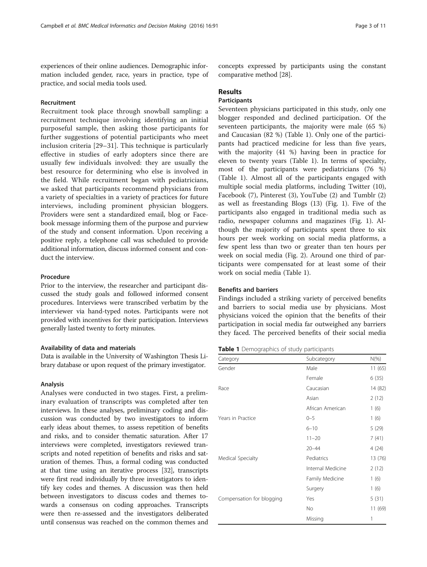experiences of their online audiences. Demographic information included gender, race, years in practice, type of practice, and social media tools used.

# Recruitment

Recruitment took place through snowball sampling: a recruitment technique involving identifying an initial purposeful sample, then asking those participants for further suggestions of potential participants who meet inclusion criteria [[29](#page-10-0)–[31\]](#page-10-0). This technique is particularly effective in studies of early adopters since there are usually few individuals involved: they are usually the best resource for determining who else is involved in the field. While recruitment began with pediatricians, we asked that participants recommend physicians from a variety of specialties in a variety of practices for future interviews, including prominent physician bloggers. Providers were sent a standardized email, blog or Facebook message informing them of the purpose and purview of the study and consent information. Upon receiving a positive reply, a telephone call was scheduled to provide additional information, discuss informed consent and conduct the interview.

# Procedure

Prior to the interview, the researcher and participant discussed the study goals and followed informed consent procedures. Interviews were transcribed verbatim by the interviewer via hand-typed notes. Participants were not provided with incentives for their participation. Interviews generally lasted twenty to forty minutes.

# Availability of data and materials

Data is available in the University of Washington Thesis Library database or upon request of the primary investigator.

### Analysis

Analyses were conducted in two stages. First, a preliminary evaluation of transcripts was completed after ten interviews. In these analyses, preliminary coding and discussion was conducted by two investigators to inform early ideas about themes, to assess repetition of benefits and risks, and to consider thematic saturation. After 17 interviews were completed, investigators reviewed transcripts and noted repetition of benefits and risks and saturation of themes. Thus, a formal coding was conducted at that time using an iterative process [\[32](#page-10-0)], transcripts were first read individually by three investigators to identify key codes and themes. A discussion was then held between investigators to discuss codes and themes towards a consensus on coding approaches. Transcripts were then re-assessed and the investigators deliberated until consensus was reached on the common themes and

concepts expressed by participants using the constant comparative method [[28](#page-10-0)].

# Results

# **Participants**

Seventeen physicians participated in this study, only one blogger responded and declined participation. Of the seventeen participants, the majority were male (65 %) and Caucasian (82 %) (Table 1). Only one of the participants had practiced medicine for less than five years, with the majority (41 %) having been in practice for eleven to twenty years (Table 1). In terms of specialty, most of the participants were pediatricians (76 %) (Table 1). Almost all of the participants engaged with multiple social media platforms, including Twitter (10), Facebook (7), Pinterest (3), YouTube (2) and Tumblr (2) as well as freestanding Blogs (13) (Fig. [1\)](#page-3-0). Five of the participants also engaged in traditional media such as radio, newspaper columns and magazines (Fig. [1](#page-3-0)). Although the majority of participants spent three to six hours per week working on social media platforms, a few spent less than two or greater than ten hours per week on social media (Fig. [2\)](#page-3-0). Around one third of participants were compensated for at least some of their work on social media (Table 1).

# Benefits and barriers

Findings included a striking variety of perceived benefits and barriers to social media use by physicians. Most physicians voiced the opinion that the benefits of their participation in social media far outweighed any barriers they faced. The perceived benefits of their social media

Table 1 Demographics of study participants

| Category                  | Subcategory       | $N(\%)$ |
|---------------------------|-------------------|---------|
| Gender                    | Male              | 11(65)  |
|                           | Female            | 6(35)   |
| Race                      | Caucasian         | 14 (82) |
|                           | Asian             | 2(12)   |
|                           | African American  | 1(6)    |
| Years in Practice         | $0 - 5$           | 1(6)    |
|                           | $6 - 10$          | 5(29)   |
|                           | $11 - 20$         | 7(41)   |
|                           | $20 - 44$         | 4(24)   |
| Medical Specialty         | Pediatrics        | 13 (76) |
|                           | Internal Medicine | 2(12)   |
|                           | Family Medicine   | 1(6)    |
|                           | Surgery           | 1(6)    |
| Compensation for blogging | Yes               | 5(31)   |
|                           | No                | 11 (69) |
|                           | Missing           | 1       |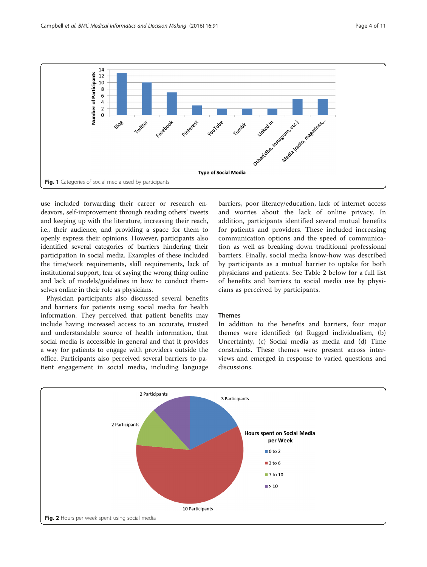<span id="page-3-0"></span>

use included forwarding their career or research endeavors, self-improvement through reading others' tweets and keeping up with the literature, increasing their reach, i.e., their audience, and providing a space for them to openly express their opinions. However, participants also identified several categories of barriers hindering their participation in social media. Examples of these included the time/work requirements, skill requirements, lack of institutional support, fear of saying the wrong thing online and lack of models/guidelines in how to conduct themselves online in their role as physicians.

Physician participants also discussed several benefits and barriers for patients using social media for health information. They perceived that patient benefits may include having increased access to an accurate, trusted and understandable source of health information, that social media is accessible in general and that it provides a way for patients to engage with providers outside the office. Participants also perceived several barriers to patient engagement in social media, including language barriers, poor literacy/education, lack of internet access and worries about the lack of online privacy. In addition, participants identified several mutual benefits for patients and providers. These included increasing communication options and the speed of communication as well as breaking down traditional professional barriers. Finally, social media know-how was described by participants as a mutual barrier to uptake for both physicians and patients. See Table [2](#page-4-0) below for a full list of benefits and barriers to social media use by physicians as perceived by participants.

#### Themes

In addition to the benefits and barriers, four major themes were identified: (a) Rugged individualism, (b) Uncertainty, (c) Social media as media and (d) Time constraints. These themes were present across interviews and emerged in response to varied questions and discussions.

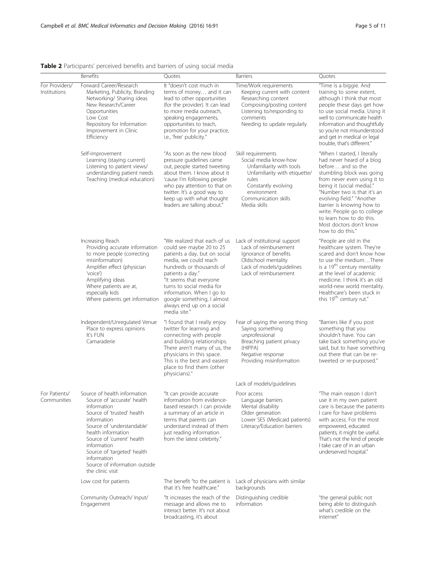<span id="page-4-0"></span>Table 2 Participants' perceived benefits and barriers of using social media

|                                | Benefits                                                                                                                                                                                                                                                                                                                    | Quotes                                                                                                                                                                                                                                                                                                                             | <b>Barriers</b>                                                                                                                                                                                 | Quotes                                                                                                                                                                                                                                                                                                                                                                     |
|--------------------------------|-----------------------------------------------------------------------------------------------------------------------------------------------------------------------------------------------------------------------------------------------------------------------------------------------------------------------------|------------------------------------------------------------------------------------------------------------------------------------------------------------------------------------------------------------------------------------------------------------------------------------------------------------------------------------|-------------------------------------------------------------------------------------------------------------------------------------------------------------------------------------------------|----------------------------------------------------------------------------------------------------------------------------------------------------------------------------------------------------------------------------------------------------------------------------------------------------------------------------------------------------------------------------|
| For Providers/<br>Institutions | Forward Career/Research<br>Marketing, Publicity, Branding<br>Networking/ Sharing ideas<br>New Research/Career<br>Opportunities<br>Low Cost<br>Repository for Information<br>Improvement in Clinic<br>Efficiency                                                                                                             | It "doesn't cost much in<br>terms of money and it can<br>lead to other opportunities<br>(for the provider). It can lead<br>to more media outreach,<br>speaking engagements,<br>opportunities to teach,<br>promotion for your practice,<br>i.e., 'free' publicity."                                                                 | Time/Work requirements<br>Keeping current with content<br>Researching content<br>Composing/posting content<br>Listening to/responding to<br>comments<br>Needing to update regularly             | "Time is a biggie. And<br>training to some extent,<br>although I think that most<br>people these days get how<br>to use social media. Using it<br>well to communicate health<br>information and thoughtfully<br>so you're not misunderstood<br>and get in medical or legal<br>trouble, that's different."                                                                  |
|                                | Self-improvement<br>Learning (staying current)<br>Listening to patient views/<br>understanding patient needs<br>Teaching (medical education)                                                                                                                                                                                | "As soon as the new blood<br>pressure quidelines came<br>out, people started tweeting<br>about them. I know about it<br>'cause I'm following people<br>who pay attention to that on<br>twitter. It's a good way to<br>keep up with what thought<br>leaders are talking about."                                                     | Skill requirements<br>Social media know-how<br>Unfamiliarity with tools<br>Unfamiliarity with etiquette/<br>rules<br>Constantly evolving<br>environment<br>Communication skills<br>Media skills | "When I started, I literally<br>had never heard of a blog<br>before and so the<br>stumbling block was going<br>from never even using it to<br>being it (social media)."<br>"Number two is that it's an<br>evolving field." "Another<br>barrier is knowing how to<br>write. People go to college<br>to learn how to do this.<br>Most doctors don't know<br>how to do this." |
|                                | Increasing Reach<br>Providing accurate information<br>to more people (correcting<br>misinformation)<br>Amplifier effect (physician<br>'voice')<br>Amplifying ideas<br>Where patients are at,<br>especially kids<br>Where patients get information                                                                           | "We realized that each of us<br>could see maybe 20 to 25<br>patients a day, but on social<br>media, we could reach<br>hundreds or thousands of<br>patients a day."<br>"It seems that everyone<br>turns to social media for<br>information. When I go to<br>google something, I almost<br>always end up on a social<br>media site." | Lack of institutional support<br>Lack of reimbursement<br>Ignorance of benefits<br>Oldschool mentality<br>Lack of models/guidelines<br>Lack of reimbursement                                    | "People are old in the<br>healthcare system. They're<br>scared and don't know how<br>to use the mediumThere<br>is a 19 <sup>th</sup> century mentality<br>at the level of academic<br>medicine. I think it's an old<br>world-new world mentality.<br>Healthcare's been stuck in<br>this 19 <sup>th</sup> century rut."                                                     |
|                                | Independent/Unregulated Venue<br>Place to express opinions<br>It's FUN<br>Camaraderie                                                                                                                                                                                                                                       | "I found that I really enjoy<br>twitter for learning and<br>connecting with people<br>and building relationships.<br>There aren't many of us, the<br>physicians in this space.<br>This is the best and easiest<br>place to find them (other<br>physicians)."                                                                       | Fear of saying the wrong thing<br>Saying something<br>unprofessional<br>Breaching patient privacy<br>(HIPPA)<br>Negative response<br>Providing misinformation                                   | "Barriers like if you post<br>something that you<br>shouldn't have. You can<br>take back something you've<br>said, but to have something<br>out there that can be re-<br>tweeted or re-purposed."                                                                                                                                                                          |
|                                |                                                                                                                                                                                                                                                                                                                             |                                                                                                                                                                                                                                                                                                                                    | Lack of models/guidelines                                                                                                                                                                       |                                                                                                                                                                                                                                                                                                                                                                            |
| For Patients/<br>Communities   | Source of health information<br>Source of 'accurate' health<br>information<br>Source of 'trusted' health<br>information<br>Source of 'understandable'<br>health information<br>Source of 'current' health<br>information<br>Source of 'targeted' health<br>information<br>Source of information outside<br>the clinic visit | "It can provide accurate<br>information from evidence-<br>based research. I can provide<br>a summary of an article in<br>terms that parents can<br>understand instead of them<br>just reading information<br>from the latest celebrity."                                                                                           | Poor access<br>Language barriers<br>Mental disability<br>Older generation<br>Lower SES (Medicaid patients)<br>Literacy/Education barriers                                                       | "The main reason I don't<br>use it in my own patient<br>care is because the patients<br>I care for have problems<br>with access. For the most<br>empowered, educated<br>patients, it might be useful.<br>That's not the kind of people<br>I take care of in an urban<br>underserved hospital."                                                                             |
|                                | Low cost for patients                                                                                                                                                                                                                                                                                                       | The benefit "to the patient is<br>that it's free healthcare."                                                                                                                                                                                                                                                                      | Lack of physicians with similar<br>backgrounds                                                                                                                                                  |                                                                                                                                                                                                                                                                                                                                                                            |
|                                | Community Outreach/ Input/<br>Engagement                                                                                                                                                                                                                                                                                    | "It increases the reach of the<br>message and allows me to<br>interact better. It's not about<br>broadcasting, it's about                                                                                                                                                                                                          | Distinguishing credible<br>information                                                                                                                                                          | "the general public not<br>being able to distinguish<br>what's credible on the<br>internet"                                                                                                                                                                                                                                                                                |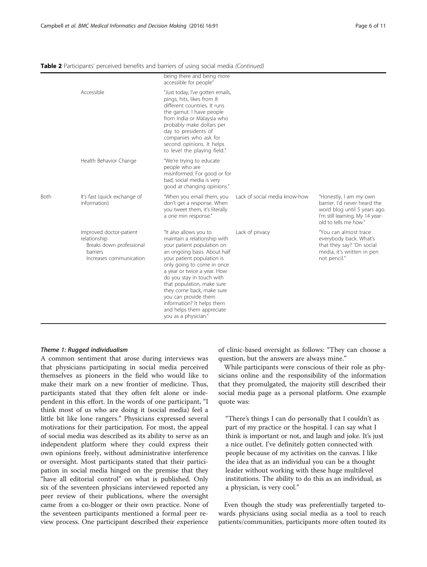#### Table 2 Participants' perceived benefits and barriers of using social media (Continued)

|             |                                                                                                            | being there and being more<br>accessible for people"                                                                                                                                                                                                                                                                                                                                                               |                               |                                                                                                                                                    |
|-------------|------------------------------------------------------------------------------------------------------------|--------------------------------------------------------------------------------------------------------------------------------------------------------------------------------------------------------------------------------------------------------------------------------------------------------------------------------------------------------------------------------------------------------------------|-------------------------------|----------------------------------------------------------------------------------------------------------------------------------------------------|
|             | Accessible                                                                                                 | "Just today, I've gotten emails,<br>pings, hits, likes from 8<br>different countries. It runs<br>the gamut. I have people<br>from India or Malaysia who<br>probably make dollars per<br>day to presidents of<br>companies who ask for<br>second opinions. It helps<br>to level the playing field."                                                                                                                 |                               |                                                                                                                                                    |
|             | Health Behavior Change                                                                                     | "We're trying to educate<br>people who are<br>misinformed. For good or for<br>bad, social media is very<br>good at changing opinions."                                                                                                                                                                                                                                                                             |                               |                                                                                                                                                    |
| <b>Both</b> | It's fast (quick exchange of<br>information)                                                               | "When you email them, you<br>don't get a response. When<br>you tweet them, it's literally<br>a one min response."                                                                                                                                                                                                                                                                                                  | Lack of social media know-how | "Honestly, I am my own<br>barrier. I'd never heard the<br>word blog until 5 years ago.<br>I'm still learning. My 14 year-<br>old to tells me how." |
|             | Improved doctor-patient<br>relationship<br>Breaks down professional<br>barriers<br>Increases communication | "It also allows you to<br>maintain a relationship with<br>your patient population on<br>an ongoing basis. About half<br>your patient population is<br>only going to come in once<br>a year or twice a year. How<br>do you stay in touch with<br>that population, make sure<br>they come back, make sure<br>you can provide them<br>information? It helps them<br>and helps them appreciate<br>you as a physician." | Lack of privacy               | "You can almost trace<br>everybody back. What's<br>that they say? 'On social<br>media, it's written in pen<br>not pencil."                         |

#### Theme 1: Rugged individualism

A common sentiment that arose during interviews was that physicians participating in social media perceived themselves as pioneers in the field who would like to make their mark on a new frontier of medicine. Thus, participants stated that they often felt alone or independent in this effort. In the words of one participant, "I think most of us who are doing it (social media) feel a little bit like lone rangers." Physicians expressed several motivations for their participation. For most, the appeal of social media was described as its ability to serve as an independent platform where they could express their own opinions freely, without administrative interference or oversight. Most participants stated that their participation in social media hinged on the premise that they "have all editorial control" on what is published. Only six of the seventeen physicians interviewed reported any peer review of their publications, where the oversight came from a co-blogger or their own practice. None of the seventeen participants mentioned a formal peer review process. One participant described their experience of clinic-based oversight as follows: "They can choose a question, but the answers are always mine."

While participants were conscious of their role as physicians online and the responsibility of the information that they promulgated, the majority still described their social media page as a personal platform. One example quote was:

"There's things I can do personally that I couldn't as part of my practice or the hospital. I can say what I think is important or not, and laugh and joke. It's just a nice outlet. I've definitely gotten connected with people because of my activities on the canvas. I like the idea that as an individual you can be a thought leader without working with these huge multilevel institutions. The ability to do this as an individual, as a physician, is very cool."

Even though the study was preferentially targeted towards physicians using social media as a tool to reach patients/communities, participants more often touted its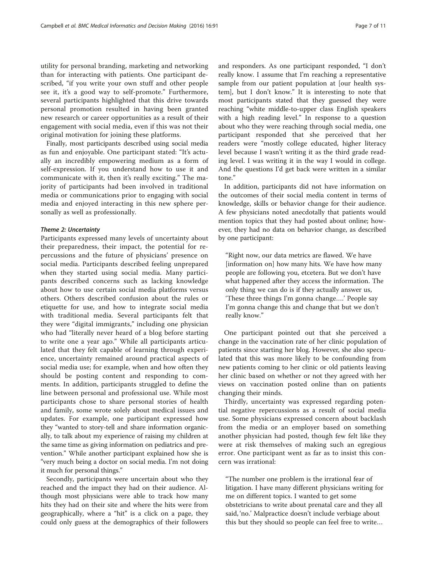utility for personal branding, marketing and networking than for interacting with patients. One participant described, "if you write your own stuff and other people see it, it's a good way to self-promote." Furthermore, several participants highlighted that this drive towards personal promotion resulted in having been granted new research or career opportunities as a result of their engagement with social media, even if this was not their original motivation for joining these platforms.

Finally, most participants described using social media as fun and enjoyable. One participant stated: "It's actually an incredibly empowering medium as a form of self-expression. If you understand how to use it and communicate with it, then it's really exciting." The majority of participants had been involved in traditional media or communications prior to engaging with social media and enjoyed interacting in this new sphere personally as well as professionally.

#### Theme 2: Uncertainty

Participants expressed many levels of uncertainty about their preparedness, their impact, the potential for repercussions and the future of physicians' presence on social media. Participants described feeling unprepared when they started using social media. Many participants described concerns such as lacking knowledge about how to use certain social media platforms versus others. Others described confusion about the rules or etiquette for use, and how to integrate social media with traditional media. Several participants felt that they were "digital immigrants," including one physician who had "literally never heard of a blog before starting to write one a year ago." While all participants articulated that they felt capable of learning through experience, uncertainty remained around practical aspects of social media use; for example, when and how often they should be posting content and responding to comments. In addition, participants struggled to define the line between personal and professional use. While most participants chose to share personal stories of health and family, some wrote solely about medical issues and updates. For example, one participant expressed how they "wanted to story-tell and share information organically, to talk about my experience of raising my children at the same time as giving information on pediatrics and prevention." While another participant explained how she is "very much being a doctor on social media. I'm not doing it much for personal things."

Secondly, participants were uncertain about who they reached and the impact they had on their audience. Although most physicians were able to track how many hits they had on their site and where the hits were from geographically, where a "hit" is a click on a page, they could only guess at the demographics of their followers and responders. As one participant responded, "I don't really know. I assume that I'm reaching a representative sample from our patient population at [our health system], but I don't know." It is interesting to note that most participants stated that they guessed they were reaching "white middle-to-upper class English speakers with a high reading level." In response to a question about who they were reaching through social media, one participant responded that she perceived that her readers were "mostly college educated, higher literacy level because I wasn't writing it as the third grade reading level. I was writing it in the way I would in college. And the questions I'd get back were written in a similar tone."

In addition, participants did not have information on the outcomes of their social media content in terms of knowledge, skills or behavior change for their audience. A few physicians noted anecdotally that patients would mention topics that they had posted about online; however, they had no data on behavior change, as described by one participant:

"Right now, our data metrics are flawed. We have [information on] how many hits. We have how many people are following you, etcetera. But we don't have what happened after they access the information. The only thing we can do is if they actually answer us, 'These three things I'm gonna change….' People say I'm gonna change this and change that but we don't really know."

One participant pointed out that she perceived a change in the vaccination rate of her clinic population of patients since starting her blog. However, she also speculated that this was more likely to be confounding from new patients coming to her clinic or old patients leaving her clinic based on whether or not they agreed with her views on vaccination posted online than on patients changing their minds.

Thirdly, uncertainty was expressed regarding potential negative repercussions as a result of social media use. Some physicians expressed concern about backlash from the media or an employer based on something another physician had posted, though few felt like they were at risk themselves of making such an egregious error. One participant went as far as to insist this concern was irrational:

"The number one problem is the irrational fear of litigation. I have many different physicians writing for me on different topics. I wanted to get some obstetricians to write about prenatal care and they all said, 'no.' Malpractice doesn't include verbiage about this but they should so people can feel free to write…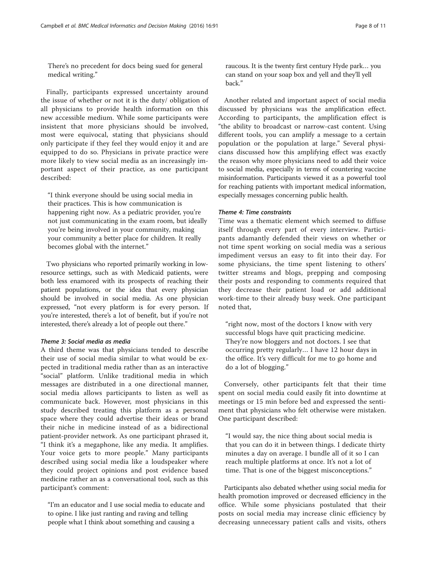There's no precedent for docs being sued for general medical writing."

Finally, participants expressed uncertainty around the issue of whether or not it is the duty/ obligation of all physicians to provide health information on this new accessible medium. While some participants were insistent that more physicians should be involved, most were equivocal, stating that physicians should only participate if they feel they would enjoy it and are equipped to do so. Physicians in private practice were more likely to view social media as an increasingly important aspect of their practice, as one participant described:

"I think everyone should be using social media in their practices. This is how communication is happening right now. As a pediatric provider, you're not just communicating in the exam room, but ideally you're being involved in your community, making your community a better place for children. It really becomes global with the internet."

Two physicians who reported primarily working in lowresource settings, such as with Medicaid patients, were both less enamored with its prospects of reaching their patient populations, or the idea that every physician should be involved in social media. As one physician expressed, "not every platform is for every person. If you're interested, there's a lot of benefit, but if you're not interested, there's already a lot of people out there."

### Theme 3: Social media as media

A third theme was that physicians tended to describe their use of social media similar to what would be expected in traditional media rather than as an interactive "social" platform. Unlike traditional media in which messages are distributed in a one directional manner, social media allows participants to listen as well as communicate back. However, most physicians in this study described treating this platform as a personal space where they could advertise their ideas or brand their niche in medicine instead of as a bidirectional patient-provider network. As one participant phrased it, "I think it's a megaphone, like any media. It amplifies. Your voice gets to more people." Many participants described using social media like a loudspeaker where they could project opinions and post evidence based medicine rather an as a conversational tool, such as this participant's comment:

"I'm an educator and I use social media to educate and to opine. I like just ranting and raving and telling people what I think about something and causing a

raucous. It is the twenty first century Hyde park… you can stand on your soap box and yell and they'll yell back."

Another related and important aspect of social media discussed by physicians was the amplification effect. According to participants, the amplification effect is "the ability to broadcast or narrow-cast content. Using different tools, you can amplify a message to a certain population or the population at large." Several physicians discussed how this amplifying effect was exactly the reason why more physicians need to add their voice to social media, especially in terms of countering vaccine misinformation. Participants viewed it as a powerful tool for reaching patients with important medical information, especially messages concerning public health.

### Theme 4: Time constraints

Time was a thematic element which seemed to diffuse itself through every part of every interview. Participants adamantly defended their views on whether or not time spent working on social media was a serious impediment versus an easy to fit into their day. For some physicians, the time spent listening to others' twitter streams and blogs, prepping and composing their posts and responding to comments required that they decrease their patient load or add additional work-time to their already busy week. One participant noted that,

"right now, most of the doctors I know with very successful blogs have quit practicing medicine. They're now bloggers and not doctors. I see that occurring pretty regularly… I have 12 hour days in the office. It's very difficult for me to go home and do a lot of blogging."

Conversely, other participants felt that their time spent on social media could easily fit into downtime at meetings or 15 min before bed and expressed the sentiment that physicians who felt otherwise were mistaken. One participant described:

"I would say, the nice thing about social media is that you can do it in between things. I dedicate thirty minutes a day on average. I bundle all of it so I can reach multiple platforms at once. It's not a lot of time. That is one of the biggest misconceptions."

Participants also debated whether using social media for health promotion improved or decreased efficiency in the office. While some physicians postulated that their posts on social media may increase clinic efficiency by decreasing unnecessary patient calls and visits, others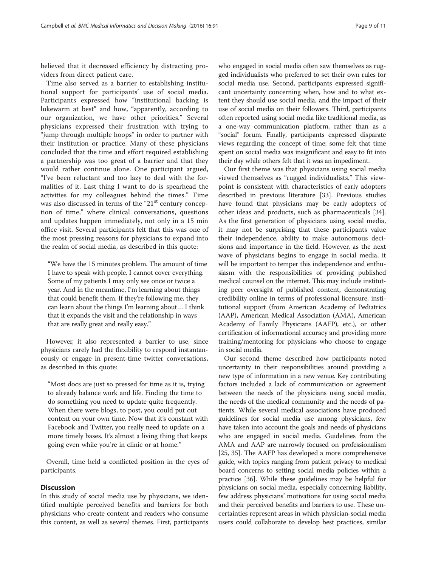believed that it decreased efficiency by distracting providers from direct patient care.

Time also served as a barrier to establishing institutional support for participants' use of social media. Participants expressed how "institutional backing is lukewarm at best" and how, "apparently, according to our organization, we have other priorities." Several physicians expressed their frustration with trying to "jump through multiple hoops" in order to partner with their institution or practice. Many of these physicians concluded that the time and effort required establishing a partnership was too great of a barrier and that they would rather continue alone. One participant argued, "I've been reluctant and too lazy to deal with the formalities of it. Last thing I want to do is spearhead the activities for my colleagues behind the times." Time was also discussed in terms of the "21<sup>st</sup> century conception of time," where clinical conversations, questions and updates happen immediately, not only in a 15 min office visit. Several participants felt that this was one of the most pressing reasons for physicians to expand into the realm of social media, as described in this quote:

"We have the 15 minutes problem. The amount of time I have to speak with people. I cannot cover everything. Some of my patients I may only see once or twice a year. And in the meantime, I'm learning about things that could benefit them. If they're following me, they can learn about the things I'm learning about… I think that it expands the visit and the relationship in ways that are really great and really easy."

However, it also represented a barrier to use, since physicians rarely had the flexibility to respond instantaneously or engage in present-time twitter conversations, as described in this quote:

"Most docs are just so pressed for time as it is, trying to already balance work and life. Finding the time to do something you need to update quite frequently. When there were blogs, to post, you could put out content on your own time. Now that it's constant with Facebook and Twitter, you really need to update on a more timely bases. It's almost a living thing that keeps going even while you're in clinic or at home."

Overall, time held a conflicted position in the eyes of participants.

# **Discussion**

In this study of social media use by physicians, we identified multiple perceived benefits and barriers for both physicians who create content and readers who consume this content, as well as several themes. First, participants

who engaged in social media often saw themselves as rugged individualists who preferred to set their own rules for social media use. Second, participants expressed significant uncertainty concerning when, how and to what extent they should use social media, and the impact of their use of social media on their followers. Third, participants often reported using social media like traditional media, as a one-way communication platform, rather than as a "social" forum. Finally, participants expressed disparate views regarding the concept of time; some felt that time spent on social media was insignificant and easy to fit into their day while others felt that it was an impediment.

Our first theme was that physicians using social media viewed themselves as "rugged individualists." This viewpoint is consistent with characteristics of early adopters described in previous literature [[33\]](#page-10-0). Previous studies have found that physicians may be early adopters of other ideas and products, such as pharmaceuticals [\[34](#page-10-0)]. As the first generation of physicians using social media, it may not be surprising that these participants value their independence, ability to make autonomous decisions and importance in the field. However, as the next wave of physicians begins to engage in social media, it will be important to temper this independence and enthusiasm with the responsibilities of providing published medical counsel on the internet. This may include instituting peer oversight of published content, demonstrating credibility online in terms of professional licensure, institutional support (from American Academy of Pediatrics (AAP), American Medical Association (AMA), American Academy of Family Physicians (AAFP), etc.), or other certification of informational accuracy and providing more training/mentoring for physicians who choose to engage in social media.

Our second theme described how participants noted uncertainty in their responsibilities around providing a new type of information in a new venue. Key contributing factors included a lack of communication or agreement between the needs of the physicians using social media, the needs of the medical community and the needs of patients. While several medical associations have produced guidelines for social media use among physicians, few have taken into account the goals and needs of physicians who are engaged in social media. Guidelines from the AMA and AAP are narrowly focused on professionalism [[25](#page-10-0), [35](#page-10-0)]. The AAFP has developed a more comprehensive guide, with topics ranging from patient privacy to medical board concerns to setting social media policies within a practice [[36](#page-10-0)]. While these guidelines may be helpful for physicians on social media, especially concerning liability, few address physicians' motivations for using social media and their perceived benefits and barriers to use. These uncertainties represent areas in which physician-social media users could collaborate to develop best practices, similar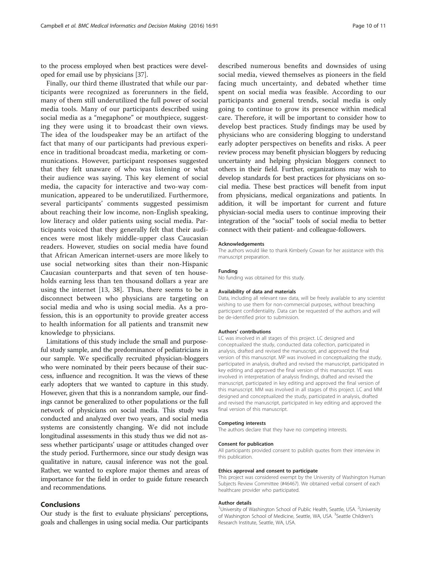to the process employed when best practices were developed for email use by physicians [[37](#page-10-0)].

Finally, our third theme illustrated that while our participants were recognized as forerunners in the field, many of them still underutilized the full power of social media tools. Many of our participants described using social media as a "megaphone" or mouthpiece, suggesting they were using it to broadcast their own views. The idea of the loudspeaker may be an artifact of the fact that many of our participants had previous experience in traditional broadcast media, marketing or communications. However, participant responses suggested that they felt unaware of who was listening or what their audience was saying. This key element of social media, the capacity for interactive and two-way communication, appeared to be underutilized. Furthermore, several participants' comments suggested pessimism about reaching their low income, non-English speaking, low literacy and older patients using social media. Participants voiced that they generally felt that their audiences were most likely middle-upper class Caucasian readers. However, studies on social media have found that African American internet-users are more likely to use social networking sites than their non-Hispanic Caucasian counterparts and that seven of ten households earning less than ten thousand dollars a year are using the internet [[13, 38](#page-10-0)]. Thus, there seems to be a disconnect between who physicians are targeting on social media and who is using social media. As a profession, this is an opportunity to provide greater access to health information for all patients and transmit new knowledge to physicians.

Limitations of this study include the small and purposeful study sample, and the predominance of pediatricians in our sample. We specifically recruited physician-bloggers who were nominated by their peers because of their success, influence and recognition. It was the views of these early adopters that we wanted to capture in this study. However, given that this is a nonrandom sample, our findings cannot be generalized to other populations or the full network of physicians on social media. This study was conducted and analyzed over two years, and social media systems are consistently changing. We did not include longitudinal assessments in this study thus we did not assess whether participants' usage or attitudes changed over the study period. Furthermore, since our study design was qualitative in nature, causal inference was not the goal. Rather, we wanted to explore major themes and areas of importance for the field in order to guide future research and recommendations.

### Conclusions

Our study is the first to evaluate physicians' perceptions, goals and challenges in using social media. Our participants

described numerous benefits and downsides of using social media, viewed themselves as pioneers in the field facing much uncertainty, and debated whether time spent on social media was feasible. According to our participants and general trends, social media is only going to continue to grow its presence within medical care. Therefore, it will be important to consider how to develop best practices. Study findings may be used by physicians who are considering blogging to understand early adopter perspectives on benefits and risks. A peer review process may benefit physician bloggers by reducing uncertainty and helping physician bloggers connect to others in their field. Further, organizations may wish to develop standards for best practices for physicians on social media. These best practices will benefit from input from physicians, medical organizations and patients. In addition, it will be important for current and future physician-social media users to continue improving their integration of the "social" tools of social media to better connect with their patient- and colleague-followers.

#### Acknowledgements

The authors would like to thank Kimberly Cowan for her assistance with this manuscript preparation.

#### Funding

No funding was obtained for this study.

### Availability of data and materials

Data, including all relevant raw data, will be freely available to any scientist wishing to use them for non-commercial purposes, without breaching participant confidentiality. Data can be requested of the authors and will be de-identified prior to submission.

#### Authors' contributions

LC was involved in all stages of this project. LC designed and conceptualized the study, conducted data collection, participated in analysis, drafted and revised the manuscript, and approved the final version of this manuscript. MP was involved in conceptualizing the study, participated in analysis, drafted and revised the manuscript, participated in key editing and approved the final version of this manuscript. YE was involved in interpretation of analysis findings, drafted and revised the manuscript, participated in key editing and approved the final version of this manuscript. MM was involved in all stages of this project. LC and MM designed and conceptualized the study, participated in analysis, drafted and revised the manuscript, participated in key editing and approved the final version of this manuscript.

#### Competing interests

The authors declare that they have no competing interests.

#### Consent for publication

All participants provided consent to publish quotes from their interview in this publication.

#### Ethics approval and consent to participate

This project was considered exempt by the University of Washington Human Subjects Review Committee (#46467). We obtained verbal consent of each healthcare provider who participated.

#### Author details

<sup>1</sup> University of Washington School of Public Health, Seattle, USA. <sup>2</sup> University of Washington School of Medicine, Seattle, WA, USA. <sup>3</sup>Seattle Children's Research Institute, Seattle, WA, USA.